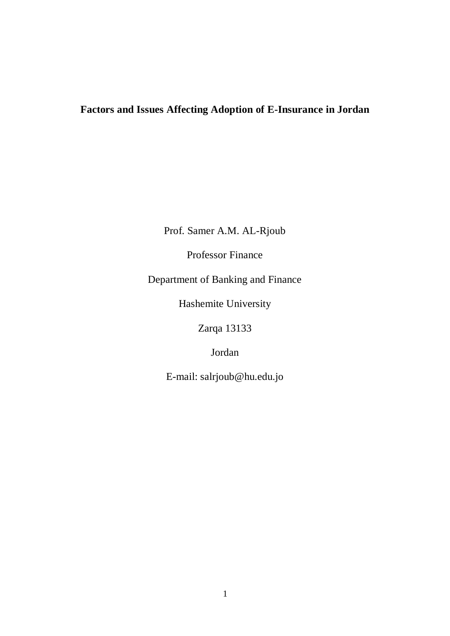# **Factors and Issues Affecting Adoption of E-Insurance in Jordan**

Prof. Samer A.M. AL-Rjoub

Professor Finance

Department of Banking and Finance

Hashemite University

Zarqa 13133

Jordan

E-mail: [salrjoub@hu.edu.jo](mailto:salrjoub@hu.edu.jo)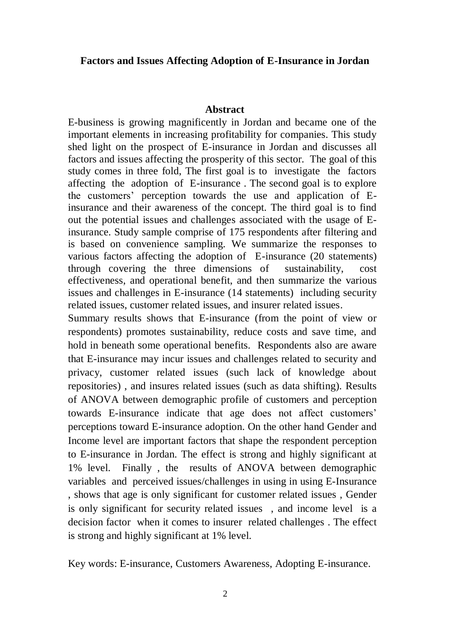### **Factors and Issues Affecting Adoption of E-Insurance in Jordan**

#### **Abstract**

E-business is growing magnificently in Jordan and became one of the important elements in increasing profitability for companies. This study shed light on the prospect of E-insurance in Jordan and discusses all factors and issues affecting the prosperity of this sector. The goal of this study comes in three fold, The first goal is to investigate the factors affecting the adoption of E-insurance . The second goal is to explore the customers' perception towards the use and application of Einsurance and their awareness of the concept. The third goal is to find out the potential issues and challenges associated with the usage of Einsurance. Study sample comprise of 175 respondents after filtering and is based on convenience sampling. We summarize the responses to various factors affecting the adoption of E-insurance (20 statements) through covering the three dimensions of sustainability, cost effectiveness, and operational benefit, and then summarize the various issues and challenges in E-insurance (14 statements) including security related issues, customer related issues, and insurer related issues.

Summary results shows that E-insurance (from the point of view or respondents) promotes sustainability, reduce costs and save time, and hold in beneath some operational benefits. Respondents also are aware that E-insurance may incur issues and challenges related to security and privacy, customer related issues (such lack of knowledge about repositories) , and insures related issues (such as data shifting). Results of ANOVA between demographic profile of customers and perception towards E-insurance indicate that age does not affect customers' perceptions toward E-insurance adoption. On the other hand Gender and Income level are important factors that shape the respondent perception to E-insurance in Jordan. The effect is strong and highly significant at 1% level. Finally , the results of ANOVA between demographic variables and perceived issues/challenges in using in using E-Insurance , shows that age is only significant for customer related issues , Gender is only significant for security related issues , and income level is a decision factor when it comes to insurer related challenges . The effect is strong and highly significant at 1% level.

Key words: E-insurance, Customers Awareness, Adopting E-insurance.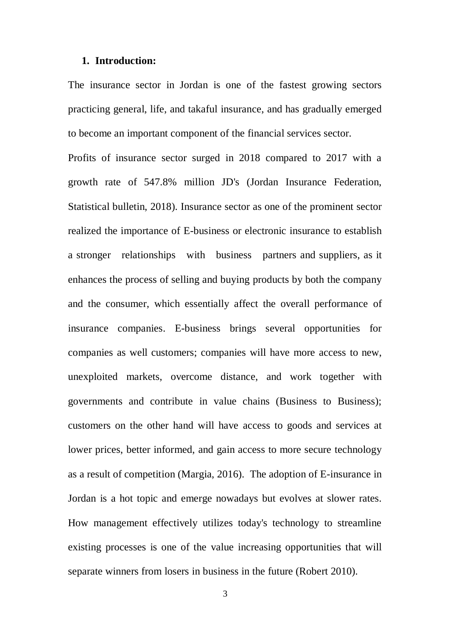#### **1. Introduction:**

The insurance sector in Jordan is one of the fastest growing sectors practicing general, life, and takaful insurance, and has gradually emerged to become an important component of the financial services sector.

Profits of insurance sector surged in 2018 compared to 2017 with a growth rate of 547.8% million JD's (Jordan Insurance Federation, Statistical bulletin, 2018). Insurance sector as one of the prominent sector realized the importance of E-business or electronic insurance to establish a stronger relationships with business partners and suppliers, as it enhances the process of selling and buying products by both the company and the consumer, which essentially affect the overall performance of insurance companies. E-business brings several opportunities for companies as well customers; companies will have more access to new, unexploited markets, overcome distance, and work together with governments and contribute in value chains (Business to Business); customers on the other hand will have access to goods and services at lower prices, better informed, and gain access to more secure technology as a result of competition (Margia, 2016). The adoption of E-insurance in Jordan is a hot topic and emerge nowadays but evolves at slower rates. How management effectively utilizes today's technology to streamline existing processes is one of the value increasing opportunities that will separate winners from losers in business in the future (Robert 2010).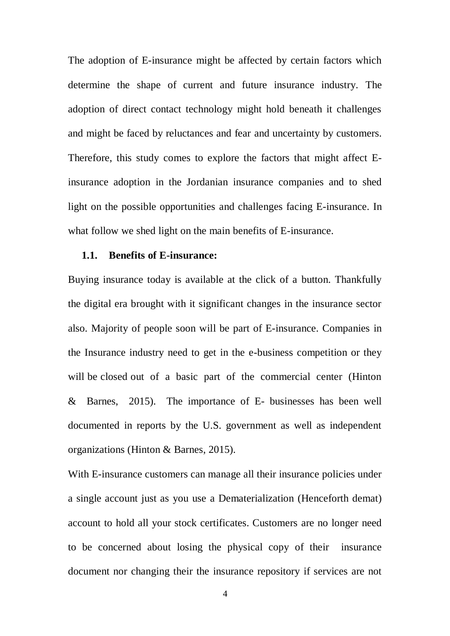The adoption of E-insurance might be affected by certain factors which determine the shape of current and future insurance industry. The adoption of direct contact technology might hold beneath it challenges and might be faced by reluctances and fear and uncertainty by customers. Therefore, this study comes to explore the factors that might affect Einsurance adoption in the Jordanian insurance companies and to shed light on the possible opportunities and challenges facing E-insurance. In what follow we shed light on the main benefits of E-insurance.

### **1.1. Benefits of E-insurance:**

Buying insurance today is available at the click of a button. Thankfully the digital era brought with it significant changes in the insurance sector also. Majority of people soon will be part of E-insurance. Companies in the Insurance industry need to get in the e-business competition or they will be closed out of a basic part of the commercial center (Hinton & Barnes, 2015). The importance of E- businesses has been well documented in reports by the U.S. government as well as independent organizations (Hinton & Barnes, 2015).

With E-insurance customers can manage all their insurance policies under a single account just as you use a Dematerialization (Henceforth demat) account to hold all your stock certificates. Customers are no longer need to be concerned about losing the physical copy of their insurance document nor changing their the insurance repository if services are not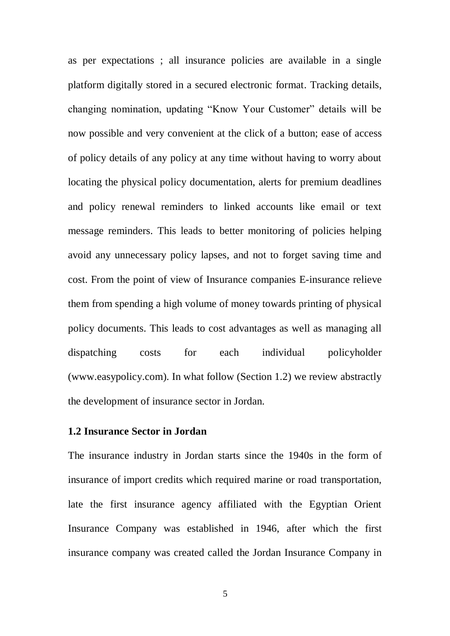as per expectations ; all insurance policies are available in a single platform digitally stored in a secured electronic format. Tracking details, changing nomination, updating "Know Your Customer" details will be now possible and very convenient at the click of a button; ease of access of policy details of any policy at any time without having to worry about locating the physical policy documentation, alerts for premium deadlines and policy renewal reminders to linked accounts like email or text message reminders. This leads to better monitoring of policies helping avoid any unnecessary policy lapses, and not to forget saving time and cost. From the point of view of Insurance companies E-insurance relieve them from spending a high volume of money towards printing of physical policy documents. This leads to cost advantages as well as managing all dispatching costs for each individual policyholder [\(www.easypolicy.com\)](http://www.easypolicy.com/). In what follow (Section 1.2) we review abstractly the development of insurance sector in Jordan.

### **1.2 Insurance Sector in Jordan**

The insurance industry in Jordan starts since the 1940s in the form of insurance of import credits which required marine or road transportation, late the first insurance agency affiliated with the Egyptian Orient Insurance Company was established in 1946, after which the first insurance company was created called the Jordan Insurance Company in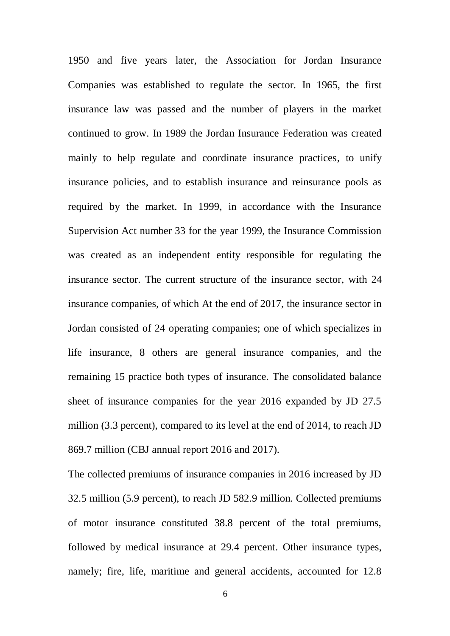1950 and five years later, the Association for Jordan Insurance Companies was established to regulate the sector. In 1965, the first insurance law was passed and the number of players in the market continued to grow. In 1989 the Jordan Insurance Federation was created mainly to help regulate and coordinate insurance practices, to unify insurance policies, and to establish insurance and reinsurance pools as required by the market. In 1999, in accordance with the Insurance Supervision Act number 33 for the year 1999, the Insurance Commission was created as an independent entity responsible for regulating the insurance sector. The current structure of the insurance sector, with 24 insurance companies, of which At the end of 2017, the insurance sector in Jordan consisted of 24 operating companies; one of which specializes in life insurance, 8 others are general insurance companies, and the remaining 15 practice both types of insurance. The consolidated balance sheet of insurance companies for the year 2016 expanded by JD 27.5 million (3.3 percent), compared to its level at the end of 2014, to reach JD 869.7 million (CBJ annual report 2016 and 2017).

The collected premiums of insurance companies in 2016 increased by JD 32.5 million (5.9 percent), to reach JD 582.9 million. Collected premiums of motor insurance constituted 38.8 percent of the total premiums, followed by medical insurance at 29.4 percent. Other insurance types, namely; fire, life, maritime and general accidents, accounted for 12.8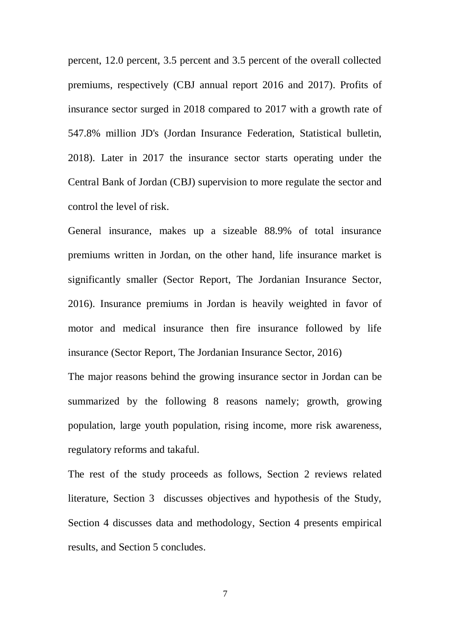percent, 12.0 percent, 3.5 percent and 3.5 percent of the overall collected premiums, respectively (CBJ annual report 2016 and 2017). Profits of insurance sector surged in 2018 compared to 2017 with a growth rate of 547.8% million JD's (Jordan Insurance Federation, Statistical bulletin, 2018). Later in 2017 the insurance sector starts operating under the Central Bank of Jordan (CBJ) supervision to more regulate the sector and control the level of risk.

General insurance, makes up a sizeable 88.9% of total insurance premiums written in Jordan, on the other hand, life insurance market is significantly smaller (Sector Report, The Jordanian Insurance Sector, 2016). Insurance premiums in Jordan is heavily weighted in favor of motor and medical insurance then fire insurance followed by life insurance (Sector Report, The Jordanian Insurance Sector, 2016) The major reasons behind the growing insurance sector in Jordan can be summarized by the following 8 reasons namely; growth, growing population, large youth population, rising income, more risk awareness, regulatory reforms and takaful.

The rest of the study proceeds as follows, Section 2 reviews related literature, Section 3 discusses objectives and hypothesis of the Study, Section 4 discusses data and methodology, Section 4 presents empirical results, and Section 5 concludes.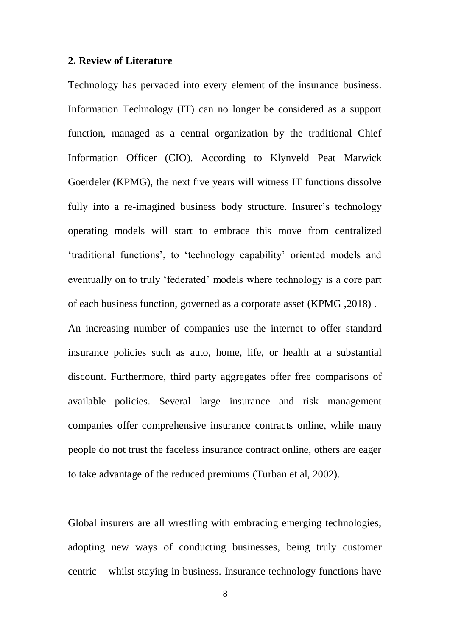### **2. Review of Literature**

Technology has pervaded into every element of the insurance business. Information Technology (IT) can no longer be considered as a support function, managed as a central organization by the traditional Chief Information Officer (CIO). According to Klynveld Peat Marwick Goerdeler (KPMG), the next five years will witness IT functions dissolve fully into a re-imagined business body structure. Insurer's technology operating models will start to embrace this move from centralized 'traditional functions', to 'technology capability' oriented models and eventually on to truly 'federated' models where technology is a core part of each business function, governed as a corporate asset (KPMG ,2018) . An increasing number of companies use the internet to offer standard insurance policies such as auto, home, life, or health at a substantial discount. Furthermore, third party aggregates offer free comparisons of available policies. Several large insurance and risk management companies offer comprehensive insurance contracts online, while many people do not trust the faceless insurance contract online, others are eager to take advantage of the reduced premiums (Turban et al, 2002).

Global insurers are all wrestling with embracing emerging technologies, adopting new ways of conducting businesses, being truly customer centric – whilst staying in business. Insurance technology functions have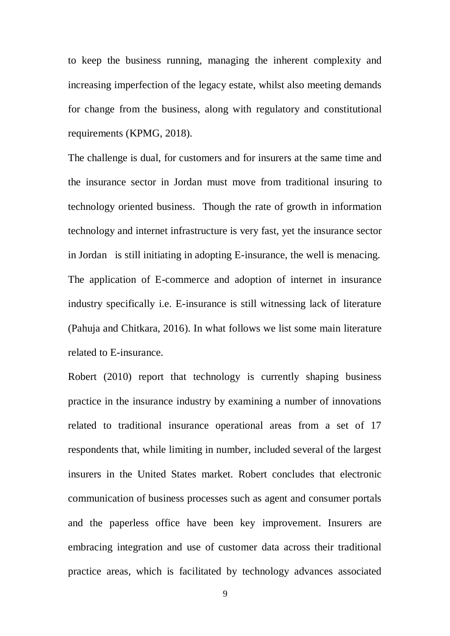to keep the business running, managing the inherent complexity and increasing imperfection of the legacy estate, whilst also meeting demands for change from the business, along with regulatory and constitutional requirements (KPMG, 2018).

The challenge is dual, for customers and for insurers at the same time and the insurance sector in Jordan must move from traditional insuring to technology oriented business. Though the rate of growth in information technology and internet infrastructure is very fast, yet the insurance sector in Jordan is still initiating in adopting E-insurance, the well is menacing. The application of E-commerce and adoption of internet in insurance industry specifically i.e. E-insurance is still witnessing lack of literature (Pahuja and Chitkara, 2016). In what follows we list some main literature related to E-insurance.

Robert (2010) report that technology is currently shaping business practice in the insurance industry by examining a number of innovations related to traditional insurance operational areas from a set of 17 respondents that, while limiting in number, included several of the largest insurers in the United States market. Robert concludes that electronic communication of business processes such as agent and consumer portals and the paperless office have been key improvement. Insurers are embracing integration and use of customer data across their traditional practice areas, which is facilitated by technology advances associated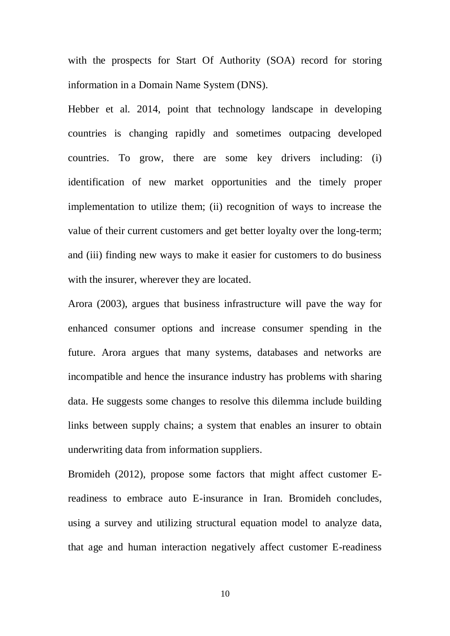with the prospects for Start Of Authority (SOA) record for storing information in a [Domain Name System](https://searchnetworking.techtarget.com/definition/domain-name-system) (DNS).

Hebber et al. 2014, point that technology landscape in developing countries is changing rapidly and sometimes outpacing developed countries. To grow, there are some key drivers including: (i) identification of new market opportunities and the timely proper implementation to utilize them; (ii) recognition of ways to increase the value of their current customers and get better loyalty over the long-term; and (iii) finding new ways to make it easier for customers to do business with the insurer, wherever they are located.

Arora (2003), argues that business infrastructure will pave the way for enhanced consumer options and increase consumer spending in the future. Arora argues that many systems, databases and networks are incompatible and hence the insurance industry has problems with sharing data. He suggests some changes to resolve this dilemma include building links between supply chains; a system that enables an insurer to obtain underwriting data from information suppliers.

Bromideh (2012), propose some factors that might affect customer Ereadiness to embrace auto E-insurance in Iran. Bromideh concludes, using a survey and utilizing structural equation model to analyze data, that age and human interaction negatively affect customer E-readiness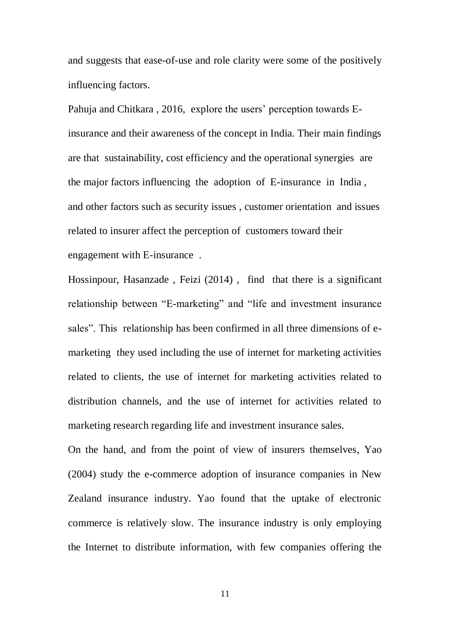and suggests that ease-of-use and role clarity were some of the positively influencing factors.

Pahuja and Chitkara , 2016, explore the users' perception towards Einsurance and their awareness of the concept in India. Their main findings are that sustainability, cost efficiency and the operational synergies are the major factors influencing the adoption of E-insurance in India , and other factors such as security issues , customer orientation and issues related to insurer affect the perception of customers toward their engagement with E-insurance .

Hossinpour, Hasanzade , Feizi (2014) , find that there is a significant relationship between "E-marketing" and "life and investment insurance sales". This relationship has been confirmed in all three dimensions of emarketing they used including the use of internet for marketing activities related to clients, the use of internet for marketing activities related to distribution channels, and the use of internet for activities related to marketing research regarding life and investment insurance sales.

On the hand, and from the point of view of insurers themselves, Yao (2004) study the e-commerce adoption of insurance companies in New Zealand insurance industry. Yao found that the uptake of electronic commerce is relatively slow. The insurance industry is only employing the Internet to distribute information, with few companies offering the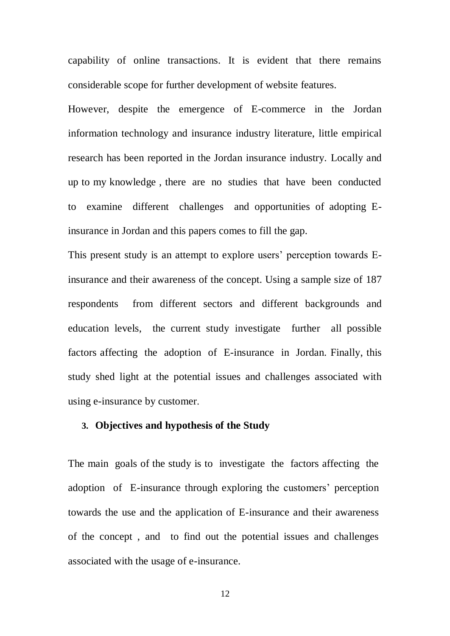capability of online transactions. It is evident that there remains considerable scope for further development of website features.

However, despite the emergence of E-commerce in the Jordan information technology and insurance industry literature, little empirical research has been reported in the Jordan insurance industry. Locally and up to my knowledge , there are no studies that have been conducted to examine different challenges and opportunities of adopting Einsurance in Jordan and this papers comes to fill the gap.

This present study is an attempt to explore users' perception towards Einsurance and their awareness of the concept. Using a sample size of 187 respondents from different sectors and different backgrounds and education levels, the current study investigate further all possible factors affecting the adoption of E-insurance in Jordan. Finally, this study shed light at the potential issues and challenges associated with using e-insurance by customer.

### **3. Objectives and hypothesis of the Study**

The main goals of the study is to investigate the factors affecting the adoption of E-insurance through exploring the customers' perception towards the use and the application of E-insurance and their awareness of the concept , and to find out the potential issues and challenges associated with the usage of e-insurance.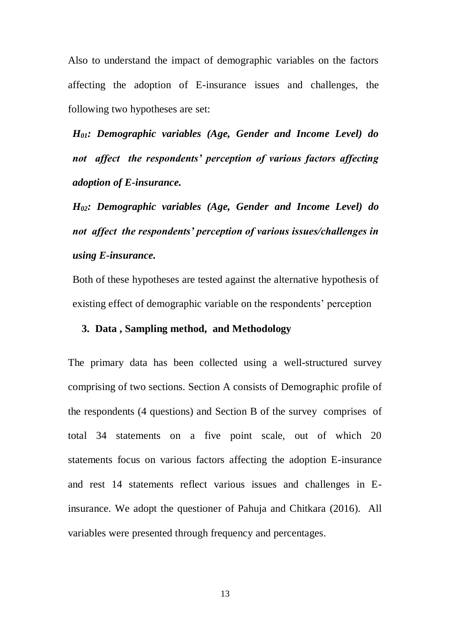Also to understand the impact of demographic variables on the factors affecting the adoption of E-insurance issues and challenges, the following two hypotheses are set:

*H01: Demographic variables (Age, Gender and Income Level) do not affect the respondents' perception of various factors affecting adoption of E-insurance.*

*H02: Demographic variables (Age, Gender and Income Level) do not affect the respondents' perception of various issues/challenges in using E-insurance.*

Both of these hypotheses are tested against the alternative hypothesis of existing effect of demographic variable on the respondents' perception

### **3. Data , Sampling method, and Methodology**

The primary data has been collected using a well-structured survey comprising of two sections. Section A consists of Demographic profile of the respondents (4 questions) and Section B of the survey comprises of total 34 statements on a five point scale, out of which 20 statements focus on various factors affecting the adoption E-insurance and rest 14 statements reflect various issues and challenges in Einsurance. We adopt the questioner of Pahuja and Chitkara (2016). All variables were presented through frequency and percentages.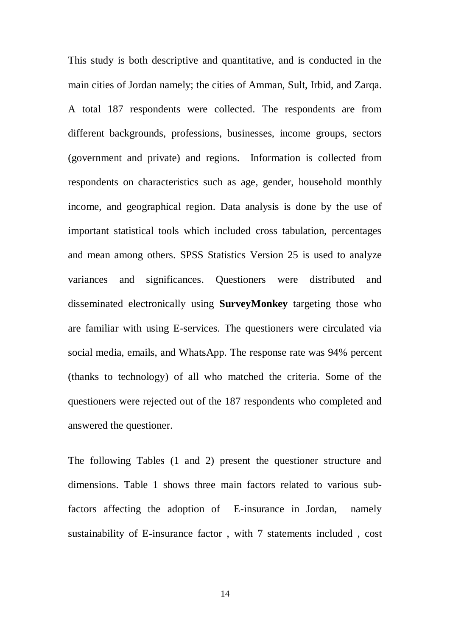This study is both descriptive and quantitative, and is conducted in the main cities of Jordan namely; the cities of Amman, Sult, Irbid, and Zarqa. A total 187 respondents were collected. The respondents are from different backgrounds, professions, businesses, income groups, sectors (government and private) and regions. Information is collected from respondents on characteristics such as age, gender, household monthly income, and geographical region. Data analysis is done by the use of important statistical tools which included cross tabulation, percentages and mean among others. SPSS Statistics Version 25 is used to analyze variances and significances. Questioners were distributed and disseminated electronically using **SurveyMonkey** targeting those who are familiar with using E-services. The questioners were circulated via social media, emails, and WhatsApp. The response rate was 94% percent (thanks to technology) of all who matched the criteria. Some of the questioners were rejected out of the 187 respondents who completed and answered the questioner.

The following Tables (1 and 2) present the questioner structure and dimensions. Table 1 shows three main factors related to various subfactors affecting the adoption of E-insurance in Jordan, namely sustainability of E-insurance factor , with 7 statements included , cost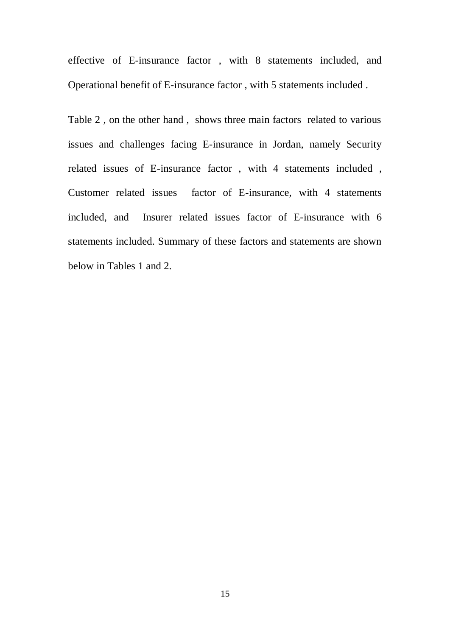effective of E-insurance factor , with 8 statements included, and Operational benefit of E-insurance factor , with 5 statements included .

Table 2 , on the other hand , shows three main factors related to various issues and challenges facing E-insurance in Jordan, namely Security related issues of E-insurance factor , with 4 statements included , Customer related issues factor of E-insurance, with 4 statements included, and Insurer related issues factor of E-insurance with 6 statements included. Summary of these factors and statements are shown below in Tables 1 and 2.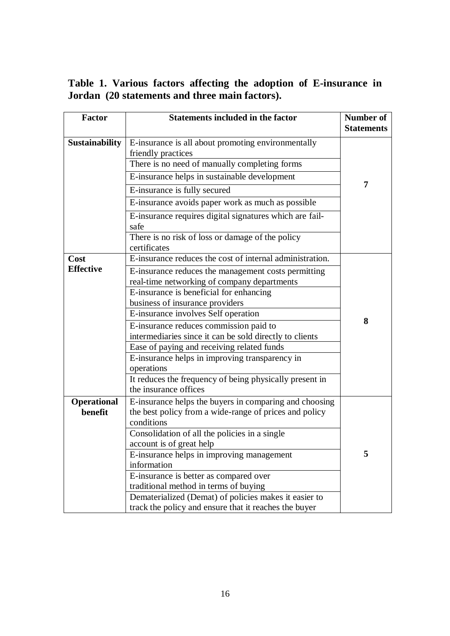**Table 1. Various factors affecting the adoption of E-insurance in Jordan (20 statements and three main factors).**

| <b>Factor</b>         | <b>Statements included in the factor</b>                                                                       | <b>Number of</b><br><b>Statements</b> |
|-----------------------|----------------------------------------------------------------------------------------------------------------|---------------------------------------|
| <b>Sustainability</b> | E-insurance is all about promoting environmentally<br>friendly practices                                       |                                       |
|                       | There is no need of manually completing forms                                                                  |                                       |
|                       | E-insurance helps in sustainable development                                                                   |                                       |
|                       | E-insurance is fully secured                                                                                   | 7                                     |
|                       | E-insurance avoids paper work as much as possible                                                              |                                       |
|                       | E-insurance requires digital signatures which are fail-<br>safe                                                |                                       |
|                       | There is no risk of loss or damage of the policy<br>certificates                                               |                                       |
| Cost                  | E-insurance reduces the cost of internal administration.                                                       |                                       |
| <b>Effective</b>      | E-insurance reduces the management costs permitting<br>real-time networking of company departments             |                                       |
|                       | E-insurance is beneficial for enhancing                                                                        |                                       |
|                       | business of insurance providers                                                                                |                                       |
|                       | E-insurance involves Self operation                                                                            | 8                                     |
|                       | E-insurance reduces commission paid to                                                                         |                                       |
|                       | intermediaries since it can be sold directly to clients                                                        |                                       |
|                       | Ease of paying and receiving related funds                                                                     |                                       |
|                       | E-insurance helps in improving transparency in                                                                 |                                       |
|                       | operations                                                                                                     |                                       |
|                       | It reduces the frequency of being physically present in<br>the insurance offices                               |                                       |
| <b>Operational</b>    | E-insurance helps the buyers in comparing and choosing                                                         |                                       |
| benefit               | the best policy from a wide-range of prices and policy                                                         |                                       |
|                       | conditions                                                                                                     |                                       |
|                       | Consolidation of all the policies in a single                                                                  |                                       |
|                       | account is of great help                                                                                       |                                       |
|                       | E-insurance helps in improving management                                                                      | 5                                     |
|                       | information                                                                                                    |                                       |
|                       | E-insurance is better as compared over                                                                         |                                       |
|                       | traditional method in terms of buying                                                                          |                                       |
|                       | Dematerialized (Demat) of policies makes it easier to<br>track the policy and ensure that it reaches the buyer |                                       |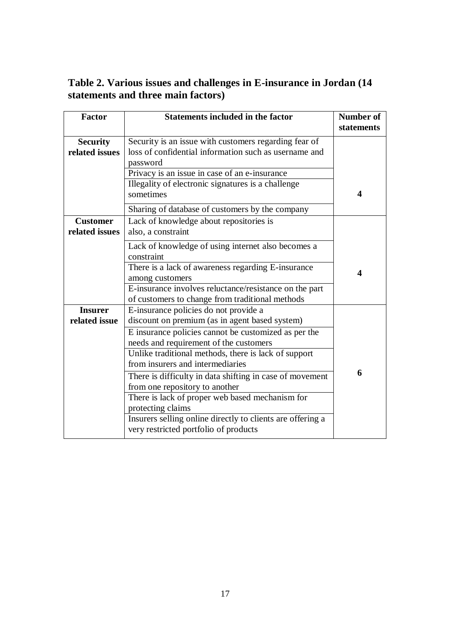**Table 2. Various issues and challenges in E-insurance in Jordan (14 statements and three main factors)**

| <b>Factor</b>                     | <b>Statements included in the factor</b>                                                                                                                                                                                                                                                                                                                                                                                                                                                                                                                           | <b>Number of</b><br>statements |
|-----------------------------------|--------------------------------------------------------------------------------------------------------------------------------------------------------------------------------------------------------------------------------------------------------------------------------------------------------------------------------------------------------------------------------------------------------------------------------------------------------------------------------------------------------------------------------------------------------------------|--------------------------------|
| <b>Security</b><br>related issues | Security is an issue with customers regarding fear of<br>loss of confidential information such as username and<br>password                                                                                                                                                                                                                                                                                                                                                                                                                                         |                                |
|                                   | Privacy is an issue in case of an e-insurance<br>Illegality of electronic signatures is a challenge<br>sometimes                                                                                                                                                                                                                                                                                                                                                                                                                                                   | $\overline{\mathbf{4}}$        |
| <b>Customer</b><br>related issues | Sharing of database of customers by the company<br>Lack of knowledge about repositories is<br>also, a constraint                                                                                                                                                                                                                                                                                                                                                                                                                                                   |                                |
|                                   | Lack of knowledge of using internet also becomes a<br>constraint<br>There is a lack of awareness regarding E-insurance<br>among customers<br>E-insurance involves reluctance/resistance on the part<br>of customers to change from traditional methods                                                                                                                                                                                                                                                                                                             | $\overline{\mathbf{4}}$        |
| <b>Insurer</b><br>related issue   | E-insurance policies do not provide a<br>discount on premium (as in agent based system)<br>E insurance policies cannot be customized as per the<br>needs and requirement of the customers<br>Unlike traditional methods, there is lack of support<br>from insurers and intermediaries<br>There is difficulty in data shifting in case of movement<br>from one repository to another<br>There is lack of proper web based mechanism for<br>protecting claims<br>Insurers selling online directly to clients are offering a<br>very restricted portfolio of products | 6                              |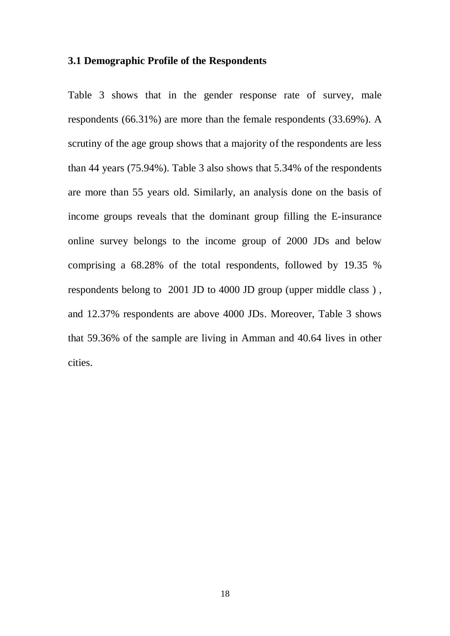### **3.1 Demographic Profile of the Respondents**

Table 3 shows that in the gender response rate of survey, male respondents (66.31%) are more than the female respondents (33.69%). A scrutiny of the age group shows that a majority of the respondents are less than 44 years (75.94%). Table 3 also shows that 5.34% of the respondents are more than 55 years old. Similarly, an analysis done on the basis of income groups reveals that the dominant group filling the E-insurance online survey belongs to the income group of 2000 JDs and below comprising a 68.28% of the total respondents, followed by 19.35 % respondents belong to 2001 JD to 4000 JD group (upper middle class ) , and 12.37% respondents are above 4000 JDs. Moreover, Table 3 shows that 59.36% of the sample are living in Amman and 40.64 lives in other cities.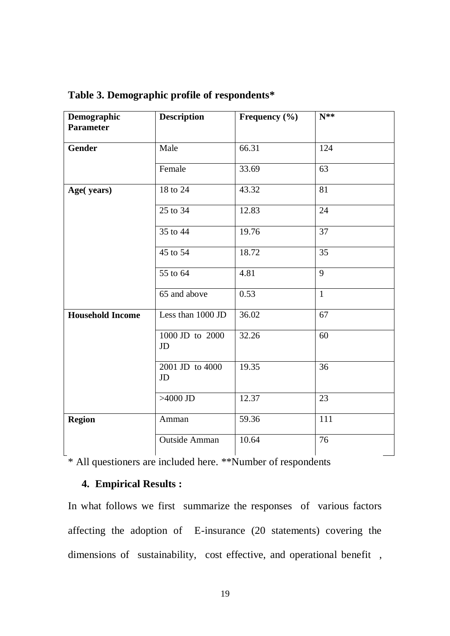| Demographic<br><b>Parameter</b> | <b>Description</b>    | Frequency $(\% )$ | N**          |
|---------------------------------|-----------------------|-------------------|--------------|
| <b>Gender</b>                   | Male                  | 66.31             | 124          |
|                                 | Female                | 33.69             | 63           |
| Age(years)                      | 18 to 24              | 43.32             | 81           |
|                                 | 25 to 34              | 12.83             | 24           |
|                                 | 35 to 44              | 19.76             | 37           |
|                                 | 45 to $54$            | 18.72             | 35           |
|                                 | 55 to 64              | 4.81              | 9            |
|                                 | 65 and above          | 0.53              | $\mathbf{1}$ |
| <b>Household Income</b>         | Less than 1000 JD     | 36.02             | 67           |
|                                 | 1000 JD to 2000<br>JD | 32.26             | 60           |
|                                 | 2001 JD to 4000<br>JD | 19.35             | 36           |
|                                 | $>4000$ JD            | 12.37             | 23           |
| <b>Region</b>                   | Amman                 | 59.36             | 111          |
|                                 | Outside Amman         | 10.64             | 76           |

# **Table 3. Demographic profile of respondents\***

<sup>\*</sup> All questioners are included here. \*\*Number of respondents

### **4. Empirical Results :**

In what follows we first summarize the responses of various factors affecting the adoption of E-insurance (20 statements) covering the dimensions of sustainability, cost effective, and operational benefit ,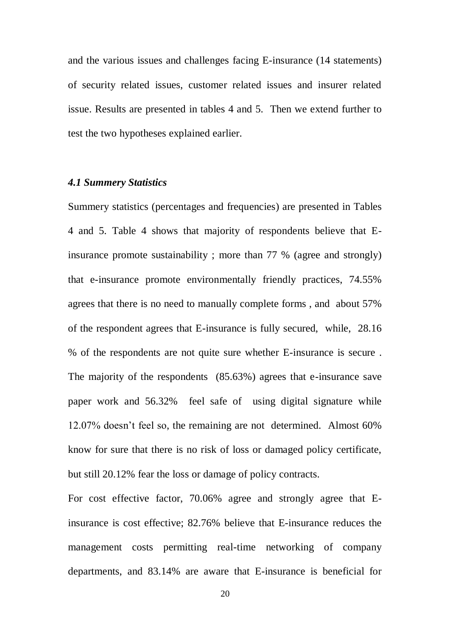and the various issues and challenges facing E-insurance (14 statements) of security related issues, customer related issues and insurer related issue. Results are presented in tables 4 and 5. Then we extend further to test the two hypotheses explained earlier.

### *4.1 Summery Statistics*

Summery statistics (percentages and frequencies) are presented in Tables 4 and 5. Table 4 shows that majority of respondents believe that Einsurance promote sustainability ; more than 77 % (agree and strongly) that e-insurance promote environmentally friendly practices, 74.55% agrees that there is no need to manually complete forms , and about 57% of the respondent agrees that E-insurance is fully secured, while, 28.16 % of the respondents are not quite sure whether E-insurance is secure . The majority of the respondents (85.63%) agrees that e-insurance save paper work and 56.32% feel safe of using digital signature while 12.07% doesn't feel so, the remaining are not determined. Almost 60% know for sure that there is no risk of loss or damaged policy certificate, but still 20.12% fear the loss or damage of policy contracts.

For cost effective factor, 70.06% agree and strongly agree that Einsurance is cost effective; 82.76% believe that E-insurance reduces the management costs permitting real-time networking of company departments, and 83.14% are aware that E-insurance is beneficial for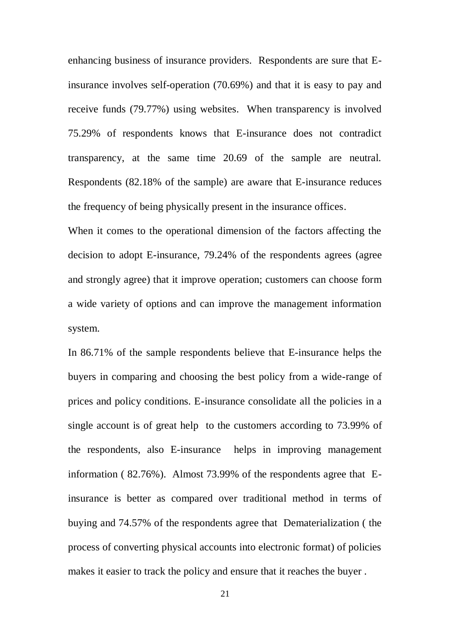enhancing business of insurance providers. Respondents are sure that Einsurance involves self-operation (70.69%) and that it is easy to pay and receive funds (79.77%) using websites. When transparency is involved 75.29% of respondents knows that E-insurance does not contradict transparency, at the same time 20.69 of the sample are neutral. Respondents (82.18% of the sample) are aware that E-insurance reduces the frequency of being physically present in the insurance offices.

When it comes to the operational dimension of the factors affecting the decision to adopt E-insurance, 79.24% of the respondents agrees (agree and strongly agree) that it improve operation; customers can choose form a wide variety of options and can improve the management information system.

In 86.71% of the sample respondents believe that E-insurance helps the buyers in comparing and choosing the best policy from a wide-range of prices and policy conditions. E-insurance consolidate all the policies in a single account is of great help to the customers according to 73.99% of the respondents, also E-insurance helps in improving management information ( 82.76%). Almost 73.99% of the respondents agree that Einsurance is better as compared over traditional method in terms of buying and 74.57% of the respondents agree that Dematerialization ( the process of converting physical accounts into electronic format) of policies makes it easier to track the policy and ensure that it reaches the buyer .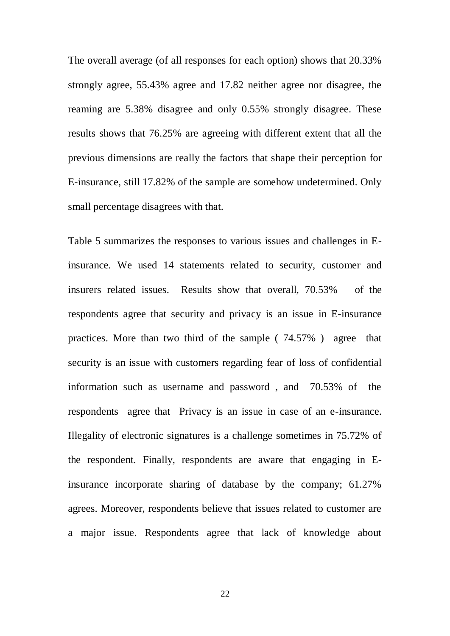The overall average (of all responses for each option) shows that 20.33% strongly agree, 55.43% agree and 17.82 neither agree nor disagree, the reaming are 5.38% disagree and only 0.55% strongly disagree. These results shows that 76.25% are agreeing with different extent that all the previous dimensions are really the factors that shape their perception for E-insurance, still 17.82% of the sample are somehow undetermined. Only small percentage disagrees with that.

Table 5 summarizes the responses to various issues and challenges in Einsurance. We used 14 statements related to security, customer and insurers related issues. Results show that overall, 70.53% of the respondents agree that security and privacy is an issue in E-insurance practices. More than two third of the sample ( 74.57% ) agree that security is an issue with customers regarding fear of loss of confidential information such as username and password , and 70.53% of the respondents agree that Privacy is an issue in case of an e-insurance. Illegality of electronic signatures is a challenge sometimes in 75.72% of the respondent. Finally, respondents are aware that engaging in Einsurance incorporate sharing of database by the company; 61.27% agrees. Moreover, respondents believe that issues related to customer are a major issue. Respondents agree that lack of knowledge about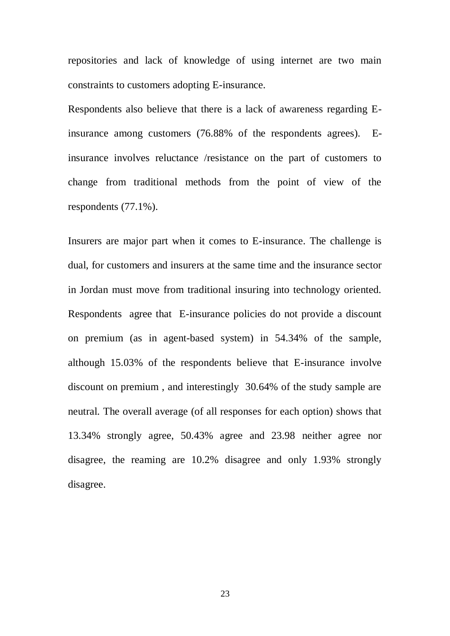repositories and lack of knowledge of using internet are two main constraints to customers adopting E-insurance.

Respondents also believe that there is a lack of awareness regarding Einsurance among customers (76.88% of the respondents agrees). Einsurance involves reluctance /resistance on the part of customers to change from traditional methods from the point of view of the respondents (77.1%).

Insurers are major part when it comes to E-insurance. The challenge is dual, for customers and insurers at the same time and the insurance sector in Jordan must move from traditional insuring into technology oriented. Respondents agree that E-insurance policies do not provide a discount on premium (as in agent-based system) in 54.34% of the sample, although 15.03% of the respondents believe that E-insurance involve discount on premium , and interestingly 30.64% of the study sample are neutral. The overall average (of all responses for each option) shows that 13.34% strongly agree, 50.43% agree and 23.98 neither agree nor disagree, the reaming are 10.2% disagree and only 1.93% strongly disagree.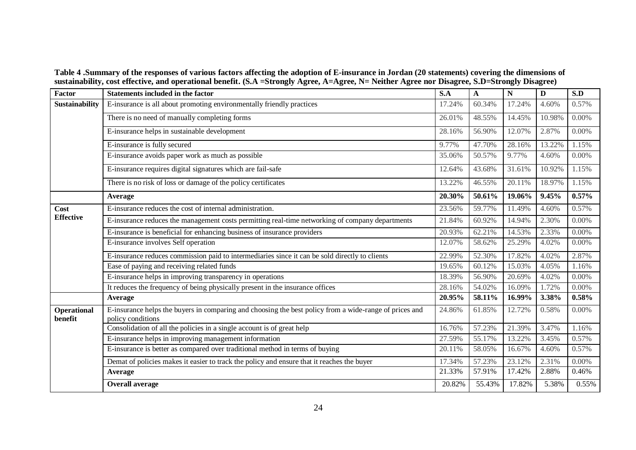**Table 4 .Summary of the responses of various factors affecting the adoption of E-insurance in Jordan (20 statements) covering the dimensions of sustainability, cost effective, and operational benefit. (S.A =Strongly Agree, A=Agree, N= Neither Agree nor Disagree, S.D=Strongly Disagree)**

| <b>Factor</b>                 | <b>Statements included in the factor</b>                                                                                    | S.A    | $\mathbf A$ | $\mathbf N$ | D      | S.D      |
|-------------------------------|-----------------------------------------------------------------------------------------------------------------------------|--------|-------------|-------------|--------|----------|
| <b>Sustainability</b>         | E-insurance is all about promoting environmentally friendly practices                                                       | 17.24% | 60.34%      | 17.24%      | 4.60%  | 0.57%    |
|                               | There is no need of manually completing forms                                                                               | 26.01% | 48.55%      | 14.45%      | 10.98% | 0.00%    |
|                               | E-insurance helps in sustainable development                                                                                | 28.16% | 56.90%      | 12.07%      | 2.87%  | 0.00%    |
|                               | E-insurance is fully secured                                                                                                | 9.77%  | 47.70%      | 28.16%      | 13.22% | 1.15%    |
|                               | E-insurance avoids paper work as much as possible                                                                           | 35.06% | 50.57%      | 9.77%       | 4.60%  | 0.00%    |
|                               | E-insurance requires digital signatures which are fail-safe                                                                 | 12.64% | 43.68%      | 31.61%      | 10.92% | 1.15%    |
|                               | There is no risk of loss or damage of the policy certificates                                                               | 13.22% | 46.55%      | 20.11%      | 18.97% | 1.15%    |
|                               | Average                                                                                                                     | 20.30% | 50.61%      | 19.06%      | 9.45%  | 0.57%    |
| Cost                          | E-insurance reduces the cost of internal administration.                                                                    | 23.56% | 59.77%      | 11.49%      | 4.60%  | 0.57%    |
| <b>Effective</b>              | E-insurance reduces the management costs permitting real-time networking of company departments                             | 21.84% | 60.92%      | 14.94%      | 2.30%  | 0.00%    |
|                               | E-insurance is beneficial for enhancing business of insurance providers                                                     | 20.93% | 62.21%      | 14.53%      | 2.33%  | 0.00%    |
|                               | E-insurance involves Self operation                                                                                         | 12.07% | 58.62%      | 25.29%      | 4.02%  | $0.00\%$ |
|                               | E-insurance reduces commission paid to intermediaries since it can be sold directly to clients                              | 22.99% | 52.30%      | 17.82%      | 4.02%  | 2.87%    |
|                               | Ease of paying and receiving related funds                                                                                  | 19.65% | 60.12%      | 15.03%      | 4.05%  | 1.16%    |
|                               | E-insurance helps in improving transparency in operations                                                                   | 18.39% | 56.90%      | 20.69%      | 4.02%  | 0.00%    |
|                               | It reduces the frequency of being physically present in the insurance offices                                               | 28.16% | 54.02%      | 16.09%      | 1.72%  | 0.00%    |
|                               | Average                                                                                                                     | 20.95% | 58.11%      | 16.99%      | 3.38%  | 0.58%    |
| <b>Operational</b><br>benefit | E-insurance helps the buyers in comparing and choosing the best policy from a wide-range of prices and<br>policy conditions | 24.86% | 61.85%      | 12.72%      | 0.58%  | 0.00%    |
|                               | Consolidation of all the policies in a single account is of great help                                                      | 16.76% | 57.23%      | 21.39%      | 3.47%  | 1.16%    |
|                               | E-insurance helps in improving management information                                                                       | 27.59% | 55.17%      | 13.22%      | 3.45%  | 0.57%    |
|                               | E-insurance is better as compared over traditional method in terms of buying                                                | 20.11% | 58.05%      | 16.67%      | 4.60%  | 0.57%    |
|                               | Demat of policies makes it easier to track the policy and ensure that it reaches the buyer                                  | 17.34% | 57.23%      | 23.12%      | 2.31%  | 0.00%    |
|                               | Average                                                                                                                     | 21.33% | 57.91%      | 17.42%      | 2.88%  | 0.46%    |
|                               | <b>Overall average</b>                                                                                                      | 20.82% | 55.43%      | 17.82%      | 5.38%  | 0.55%    |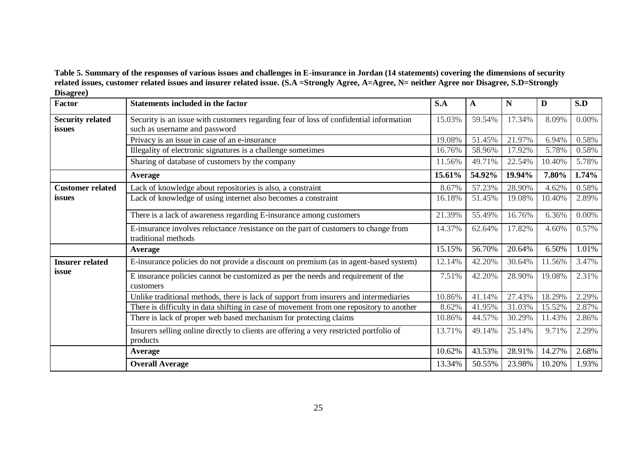**Table 5. Summary of the responses of various issues and challenges in E-insurance in Jordan (14 statements) covering the dimensions of security related issues, customer related issues and insurer related issue. (S.A =Strongly Agree, A=Agree, N= neither Agree nor Disagree, S.D=Strongly Disagree)**

| $\mathbf{v}$ where $\mathbf{v}$<br>Factor | <b>Statements included in the factor</b>                                                                                | S.A    | $\mathbf{A}$ | $\mathbf N$ | D      | S.D      |
|-------------------------------------------|-------------------------------------------------------------------------------------------------------------------------|--------|--------------|-------------|--------|----------|
| <b>Security related</b><br>issues         | Security is an issue with customers regarding fear of loss of confidential information<br>such as username and password | 15.03% | 59.54%       | 17.34%      | 8.09%  | $0.00\%$ |
|                                           | Privacy is an issue in case of an e-insurance                                                                           | 19.08% | 51.45%       | 21.97%      | 6.94%  | 0.58%    |
|                                           | Illegality of electronic signatures is a challenge sometimes                                                            | 16.76% | 58.96%       | 17.92%      | 5.78%  | 0.58%    |
|                                           | Sharing of database of customers by the company                                                                         | 11.56% | 49.71%       | 22.54%      | 10.40% | 5.78%    |
|                                           | <b>Average</b>                                                                                                          | 15.61% | 54.92%       | 19.94%      | 7.80%  | 1.74%    |
| <b>Customer related</b>                   | Lack of knowledge about repositories is also, a constraint                                                              | 8.67%  | 57.23%       | 28.90%      | 4.62%  | 0.58%    |
| issues                                    | Lack of knowledge of using internet also becomes a constraint                                                           | 16.18% | 51.45%       | 19.08%      | 10.40% | 2.89%    |
|                                           | There is a lack of awareness regarding E-insurance among customers                                                      | 21.39% | 55.49%       | 16.76%      | 6.36%  | $0.00\%$ |
|                                           | E-insurance involves reluctance /resistance on the part of customers to change from<br>traditional methods              | 14.37% | 62.64%       | 17.82%      | 4.60%  | 0.57%    |
|                                           | <b>Average</b>                                                                                                          | 15.15% | 56.70%       | 20.64%      | 6.50%  | 1.01%    |
| <b>Insurer related</b>                    | E-insurance policies do not provide a discount on premium (as in agent-based system)                                    | 12.14% | 42.20%       | 30.64%      | 11.56% | 3.47%    |
| issue                                     | E insurance policies cannot be customized as per the needs and requirement of the<br>customers                          | 7.51%  | 42.20%       | 28.90%      | 19.08% | 2.31%    |
|                                           | Unlike traditional methods, there is lack of support from insurers and intermediaries                                   | 10.86% | 41.14%       | 27.43%      | 18.29% | 2.29%    |
|                                           | There is difficulty in data shifting in case of movement from one repository to another                                 | 8.62%  | 41.95%       | 31.03%      | 15.52% | 2.87%    |
|                                           | There is lack of proper web based mechanism for protecting claims                                                       | 10.86% | 44.57%       | 30.29%      | 11.43% | 2.86%    |
|                                           | Insurers selling online directly to clients are offering a very restricted portfolio of<br>products                     | 13.71% | 49.14%       | 25.14%      | 9.71%  | 2.29%    |
|                                           | <b>Average</b>                                                                                                          | 10.62% | 43.53%       | 28.91%      | 14.27% | 2.68%    |
|                                           | <b>Overall Average</b>                                                                                                  | 13.34% | 50.55%       | 23.98%      | 10.20% | 1.93%    |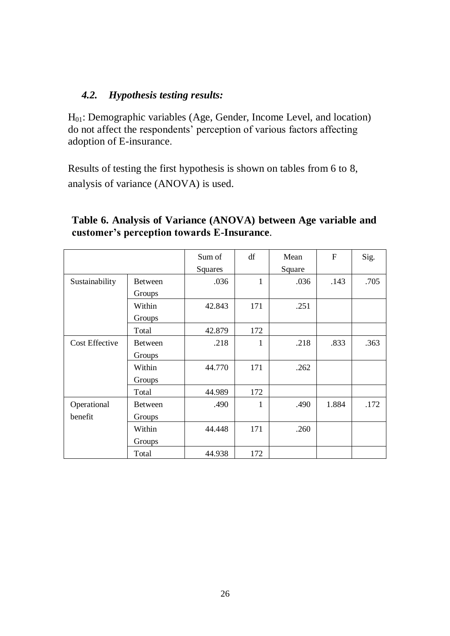### *4.2. Hypothesis testing results:*

H01: Demographic variables (Age, Gender, Income Level, and location) do not affect the respondents' perception of various factors affecting adoption of E-insurance.

Results of testing the first hypothesis is shown on tables from 6 to 8, analysis of variance (ANOVA) is used.

|                       |                          | Sum of<br>Squares | df  | Mean<br>Square | $\mathbf{F}$ | Sig. |
|-----------------------|--------------------------|-------------------|-----|----------------|--------------|------|
| Sustainability        | <b>Between</b><br>Groups | .036              | 1   | .036           | .143         | .705 |
|                       | Within<br>Groups         | 42.843            | 171 | .251           |              |      |
|                       | Total                    | 42.879            | 172 |                |              |      |
| <b>Cost Effective</b> | <b>Between</b>           | .218              | 1   | .218           | .833         | .363 |
|                       | Groups                   |                   |     |                |              |      |
|                       | Within                   | 44.770            | 171 | .262           |              |      |
|                       | Groups                   |                   |     |                |              |      |
|                       | Total                    | 44.989            | 172 |                |              |      |
| Operational           | <b>Between</b>           | .490              | 1   | .490           | 1.884        | .172 |
| benefit               | Groups                   |                   |     |                |              |      |
|                       | Within                   | 44.448            | 171 | .260           |              |      |
|                       | Groups                   |                   |     |                |              |      |
|                       | Total                    | 44.938            | 172 |                |              |      |

# **Table 6. Analysis of Variance (ANOVA) between Age variable and customer's perception towards E-Insurance**.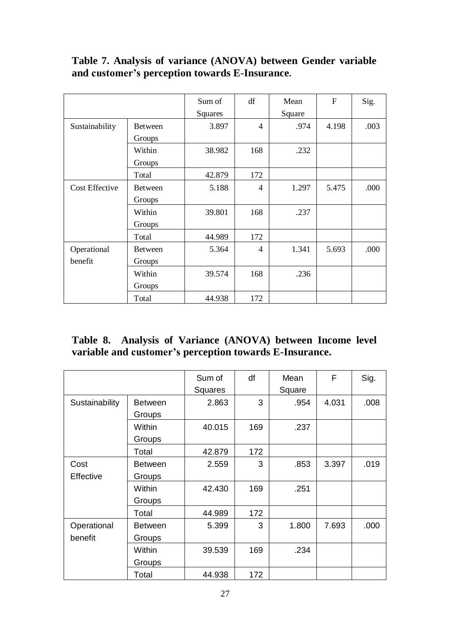# **Table 7. Analysis of variance (ANOVA) between Gender variable and customer's perception towards E-Insurance.**

|                       |                | Sum of  | df             | Mean   | $\mathbf{F}$ | Sig. |
|-----------------------|----------------|---------|----------------|--------|--------------|------|
|                       |                | Squares |                | Square |              |      |
| Sustainability        | <b>Between</b> | 3.897   | $\overline{4}$ | .974   | 4.198        | .003 |
|                       | Groups         |         |                |        |              |      |
|                       | Within         | 38.982  | 168            | .232   |              |      |
|                       | Groups         |         |                |        |              |      |
|                       | Total          | 42.879  | 172            |        |              |      |
| <b>Cost Effective</b> | <b>Between</b> | 5.188   | 4              | 1.297  | 5.475        | .000 |
|                       | Groups         |         |                |        |              |      |
|                       | Within         | 39.801  | 168            | .237   |              |      |
|                       | Groups         |         |                |        |              |      |
|                       | Total          | 44.989  | 172            |        |              |      |
| Operational           | <b>Between</b> | 5.364   | 4              | 1.341  | 5.693        | .000 |
| benefit               | Groups         |         |                |        |              |      |
|                       | Within         | 39.574  | 168            | .236   |              |      |
|                       | Groups         |         |                |        |              |      |
|                       | Total          | 44.938  | 172            |        |              |      |

# **Table 8. Analysis of Variance (ANOVA) between Income level variable and customer's perception towards E-Insurance.**

|                  |                | Sum of  | df  | Mean   | F     | Sig. |
|------------------|----------------|---------|-----|--------|-------|------|
|                  |                | Squares |     | Square |       |      |
| Sustainability   | <b>Between</b> | 2.863   | 3   | .954   | 4.031 | .008 |
|                  | Groups         |         |     |        |       |      |
|                  | Within         | 40.015  | 169 | .237   |       |      |
|                  | Groups         |         |     |        |       |      |
|                  | Total          | 42.879  | 172 |        |       |      |
| Cost             | <b>Between</b> | 2.559   | 3   | .853   | 3.397 | .019 |
| <b>Effective</b> | Groups         |         |     |        |       |      |
|                  | Within         | 42.430  | 169 | .251   |       |      |
|                  | Groups         |         |     |        |       |      |
|                  | Total          | 44.989  | 172 |        |       |      |
| Operational      | <b>Between</b> | 5.399   | 3   | 1.800  | 7.693 | .000 |
| benefit          | Groups         |         |     |        |       |      |
|                  | Within         | 39.539  | 169 | .234   |       |      |
|                  | Groups         |         |     |        |       |      |
|                  | Total          | 44.938  | 172 |        |       |      |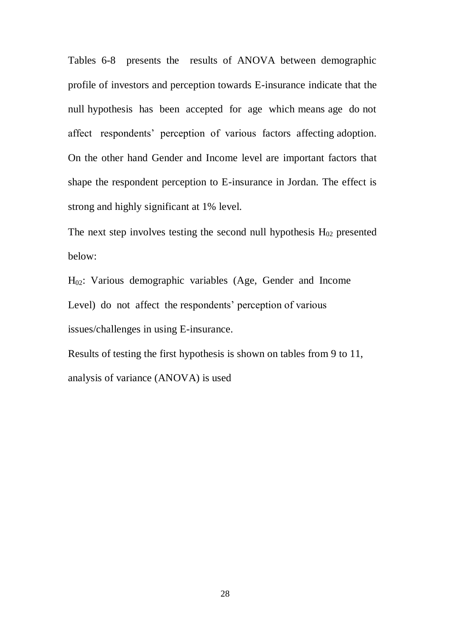Tables 6-8 presents the results of ANOVA between demographic profile of investors and perception towards E-insurance indicate that the null hypothesis has been accepted for age which means age do not affect respondents' perception of various factors affecting adoption. On the other hand Gender and Income level are important factors that shape the respondent perception to E-insurance in Jordan. The effect is strong and highly significant at 1% level.

The next step involves testing the second null hypothesis  $H_{02}$  presented below:

H02: Various demographic variables (Age, Gender and Income Level) do not affect the respondents' perception of various issues/challenges in using E-insurance.

Results of testing the first hypothesis is shown on tables from 9 to 11, analysis of variance (ANOVA) is used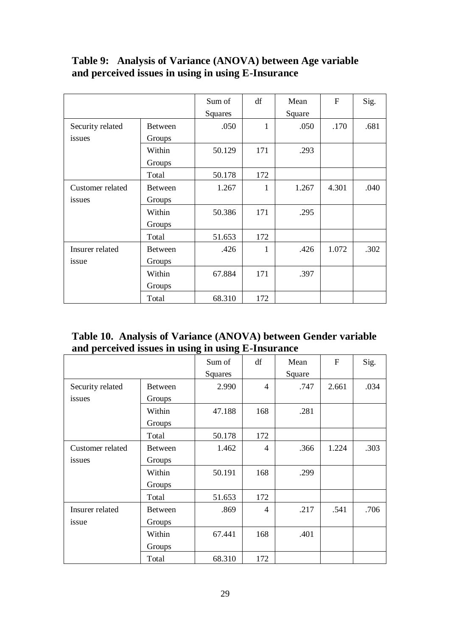# **Table 9: Analysis of Variance (ANOVA) between Age variable and perceived issues in using in using E-Insurance**

|                  |                | Sum of         | df           | Mean   | $\mathbf{F}$ | Sig. |
|------------------|----------------|----------------|--------------|--------|--------------|------|
|                  |                | <b>Squares</b> |              | Square |              |      |
| Security related | <b>Between</b> | .050           | $\mathbf{1}$ | .050   | .170         | .681 |
| issues           | Groups         |                |              |        |              |      |
|                  | Within         | 50.129         | 171          | .293   |              |      |
|                  | Groups         |                |              |        |              |      |
|                  | Total          | 50.178         | 172          |        |              |      |
| Customer related | <b>Between</b> | 1.267          | 1            | 1.267  | 4.301        | .040 |
| issues           | Groups         |                |              |        |              |      |
|                  | Within         | 50.386         | 171          | .295   |              |      |
|                  | Groups         |                |              |        |              |      |
|                  | Total          | 51.653         | 172          |        |              |      |
| Insurer related  | <b>Between</b> | .426           | $\mathbf{1}$ | .426   | 1.072        | .302 |
| issue            | Groups         |                |              |        |              |      |
|                  | Within         | 67.884         | 171          | .397   |              |      |
|                  | Groups         |                |              |        |              |      |
|                  | Total          | 68.310         | 172          |        |              |      |

# **Table 10. Analysis of Variance (ANOVA) between Gender variable and perceived issues in using in using E-Insurance**

|                  |                | Sum of         | df                       | Mean   | $\mathbf{F}$ | Sig. |
|------------------|----------------|----------------|--------------------------|--------|--------------|------|
|                  |                | <b>Squares</b> |                          | Square |              |      |
| Security related | <b>Between</b> | 2.990          | $\overline{4}$           | .747   | 2.661        | .034 |
| issues           | Groups         |                |                          |        |              |      |
|                  | Within         | 47.188         | 168                      | .281   |              |      |
|                  | Groups         |                |                          |        |              |      |
|                  | Total          | 50.178         | 172                      |        |              |      |
| Customer related | <b>Between</b> | 1.462          | $\overline{4}$           | .366   | 1.224        | .303 |
| issues           | Groups         |                |                          |        |              |      |
|                  | Within         | 50.191         | 168                      | .299   |              |      |
|                  | Groups         |                |                          |        |              |      |
|                  | Total          | 51.653         | 172                      |        |              |      |
| Insurer related  | <b>Between</b> | .869           | $\overline{\mathcal{A}}$ | .217   | .541         | .706 |
| issue            | Groups         |                |                          |        |              |      |
|                  | Within         | 67.441         | 168                      | .401   |              |      |
|                  | Groups         |                |                          |        |              |      |
|                  | Total          | 68.310         | 172                      |        |              |      |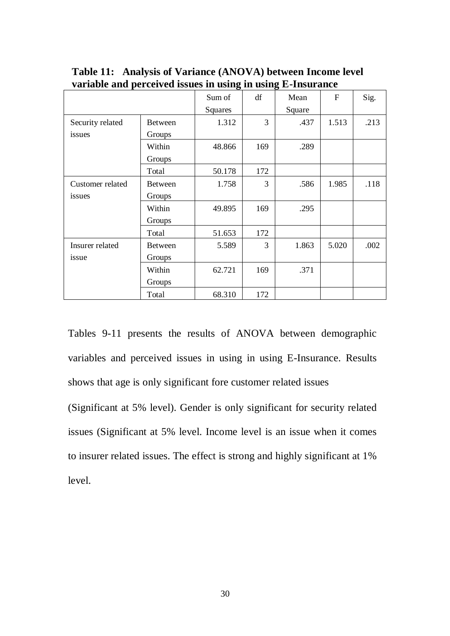|                  |                | Sum of  | df  | Mean   | $F_{\rm}$ | Sig. |
|------------------|----------------|---------|-----|--------|-----------|------|
|                  |                | Squares |     | Square |           |      |
| Security related | <b>Between</b> | 1.312   | 3   | .437   | 1.513     | .213 |
| issues           | Groups         |         |     |        |           |      |
|                  | Within         | 48.866  | 169 | .289   |           |      |
|                  | Groups         |         |     |        |           |      |
|                  | Total          | 50.178  | 172 |        |           |      |
| Customer related | <b>Between</b> | 1.758   | 3   | .586   | 1.985     | .118 |
| issues           | Groups         |         |     |        |           |      |
|                  | Within         | 49.895  | 169 | .295   |           |      |
|                  | Groups         |         |     |        |           |      |
|                  | Total          | 51.653  | 172 |        |           |      |
| Insurer related  | <b>Between</b> | 5.589   | 3   | 1.863  | 5.020     | .002 |
| issue            | Groups         |         |     |        |           |      |
|                  | Within         | 62.721  | 169 | .371   |           |      |
|                  | Groups         |         |     |        |           |      |
|                  | Total          | 68.310  | 172 |        |           |      |

**Table 11: Analysis of Variance (ANOVA) between Income level variable and perceived issues in using in using E-Insurance**

Tables 9-11 presents the results of ANOVA between demographic variables and perceived issues in using in using E-Insurance. Results shows that age is only significant fore customer related issues

(Significant at 5% level). Gender is only significant for security related issues (Significant at 5% level. Income level is an issue when it comes to insurer related issues. The effect is strong and highly significant at 1% level.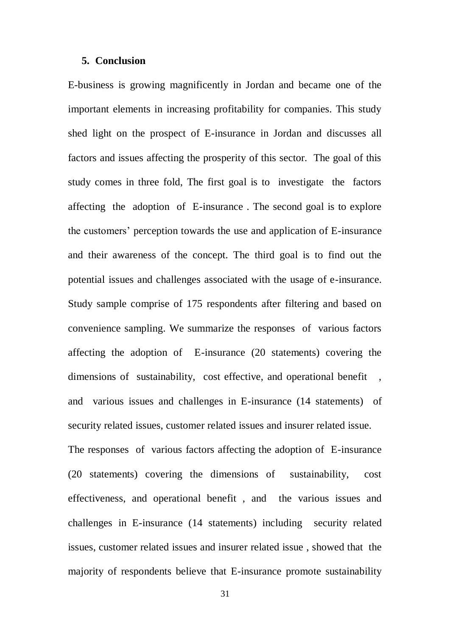#### **5. Conclusion**

E-business is growing magnificently in Jordan and became one of the important elements in increasing profitability for companies. This study shed light on the prospect of E-insurance in Jordan and discusses all factors and issues affecting the prosperity of this sector. The goal of this study comes in three fold, The first goal is to investigate the factors affecting the adoption of E-insurance . The second goal is to explore the customers' perception towards the use and application of E-insurance and their awareness of the concept. The third goal is to find out the potential issues and challenges associated with the usage of e-insurance. Study sample comprise of 175 respondents after filtering and based on convenience sampling. We summarize the responses of various factors affecting the adoption of E-insurance (20 statements) covering the dimensions of sustainability, cost effective, and operational benefit, and various issues and challenges in E-insurance (14 statements) of security related issues, customer related issues and insurer related issue. The responses of various factors affecting the adoption of E-insurance

(20 statements) covering the dimensions of sustainability, cost effectiveness, and operational benefit , and the various issues and challenges in E-insurance (14 statements) including security related issues, customer related issues and insurer related issue , showed that the majority of respondents believe that E-insurance promote sustainability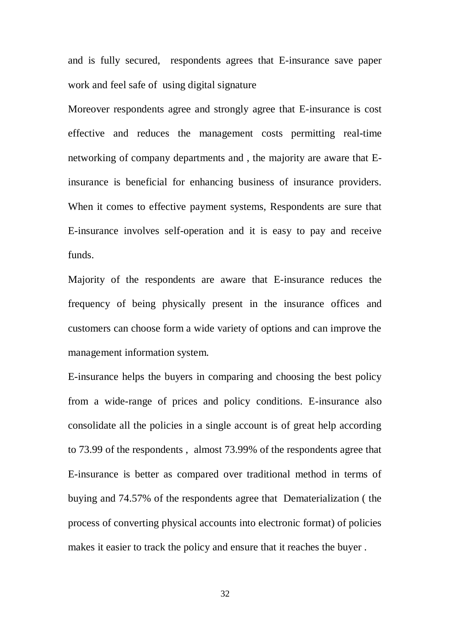and is fully secured, respondents agrees that E-insurance save paper work and feel safe of using digital signature

Moreover respondents agree and strongly agree that E-insurance is cost effective and reduces the management costs permitting real-time networking of company departments and , the majority are aware that Einsurance is beneficial for enhancing business of insurance providers. When it comes to effective payment systems, Respondents are sure that E-insurance involves self-operation and it is easy to pay and receive funds.

Majority of the respondents are aware that E-insurance reduces the frequency of being physically present in the insurance offices and customers can choose form a wide variety of options and can improve the management information system.

E-insurance helps the buyers in comparing and choosing the best policy from a wide-range of prices and policy conditions. E-insurance also consolidate all the policies in a single account is of great help according to 73.99 of the respondents , almost 73.99% of the respondents agree that E-insurance is better as compared over traditional method in terms of buying and 74.57% of the respondents agree that Dematerialization ( the process of converting physical accounts into electronic format) of policies makes it easier to track the policy and ensure that it reaches the buyer .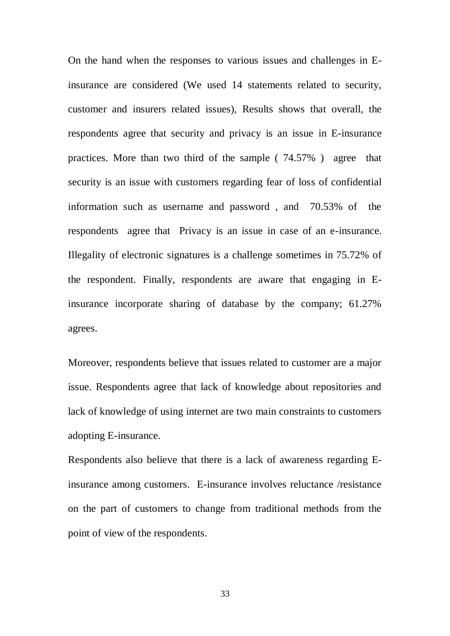On the hand when the responses to various issues and challenges in Einsurance are considered (We used 14 statements related to security, customer and insurers related issues), Results shows that overall, the respondents agree that security and privacy is an issue in E-insurance practices. More than two third of the sample ( 74.57% ) agree that security is an issue with customers regarding fear of loss of confidential information such as username and password , and 70.53% of the respondents agree that Privacy is an issue in case of an e-insurance. Illegality of electronic signatures is a challenge sometimes in 75.72% of the respondent. Finally, respondents are aware that engaging in Einsurance incorporate sharing of database by the company; 61.27% agrees.

Moreover, respondents believe that issues related to customer are a major issue. Respondents agree that lack of knowledge about repositories and lack of knowledge of using internet are two main constraints to customers adopting E-insurance.

Respondents also believe that there is a lack of awareness regarding Einsurance among customers. E-insurance involves reluctance /resistance on the part of customers to change from traditional methods from the point of view of the respondents.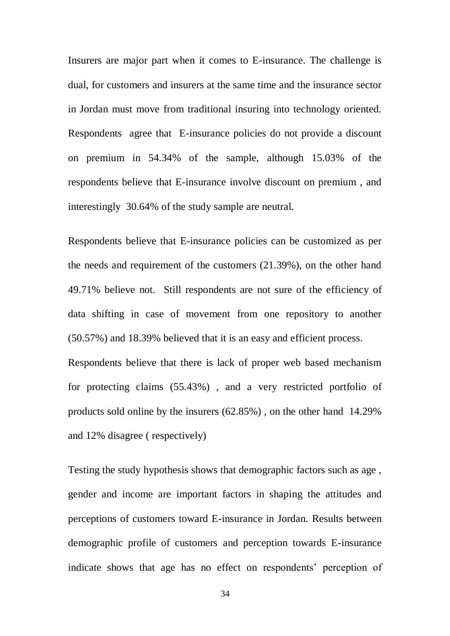Insurers are major part when it comes to E-insurance. The challenge is dual, for customers and insurers at the same time and the insurance sector in Jordan must move from traditional insuring into technology oriented. Respondents agree that E-insurance policies do not provide a discount on premium in 54.34% of the sample, although 15.03% of the respondents believe that E-insurance involve discount on premium , and interestingly 30.64% of the study sample are neutral.

Respondents believe that E-insurance policies can be customized as per the needs and requirement of the customers (21.39%), on the other hand 49.71% believe not. Still respondents are not sure of the efficiency of data shifting in case of movement from one repository to another (50.57%) and 18.39% believed that it is an easy and efficient process.

Respondents believe that there is lack of proper web based mechanism for protecting claims (55.43%) , and a very restricted portfolio of products sold online by the insurers (62.85%) , on the other hand 14.29% and 12% disagree ( respectively)

Testing the study hypothesis shows that demographic factors such as age , gender and income are important factors in shaping the attitudes and perceptions of customers toward E-insurance in Jordan. Results between demographic profile of customers and perception towards E-insurance indicate shows that age has no effect on respondents' perception of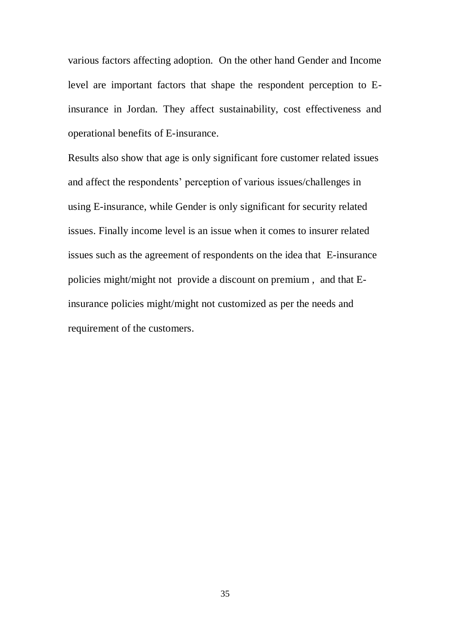various factors affecting adoption. On the other hand Gender and Income level are important factors that shape the respondent perception to Einsurance in Jordan. They affect sustainability, cost effectiveness and operational benefits of E-insurance.

Results also show that age is only significant fore customer related issues and affect the respondents' perception of various issues/challenges in using E-insurance, while Gender is only significant for security related issues. Finally income level is an issue when it comes to insurer related issues such as the agreement of respondents on the idea that E-insurance policies might/might not provide a discount on premium , and that Einsurance policies might/might not customized as per the needs and requirement of the customers.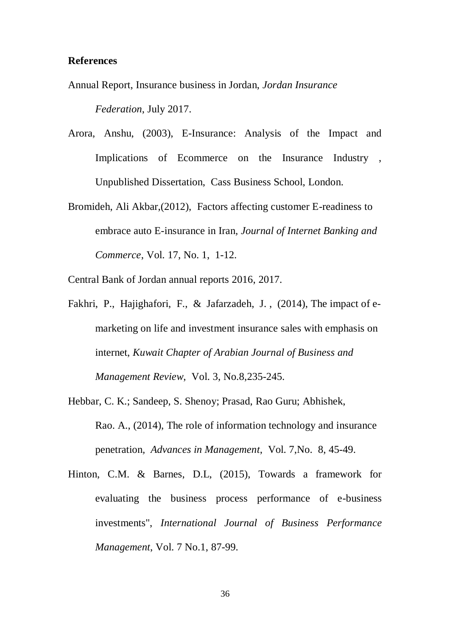### **References**

Annual Report, Insurance business in Jordan, *Jordan Insurance Federation*, July 2017.

- Arora, Anshu, (2003), E-Insurance: Analysis of the Impact and Implications of Ecommerce on the Insurance Industry , Unpublished Dissertation, Cass Business School, London.
- [Bromideh, Ali Akbar,](https://search-proquest-com.ezproxy.psu.edu.sa/indexinglinkhandler/sng/au/Bromideh,+Ali+Akbar/$N?accountid=38108)(2012), Factors affecting customer E-readiness to embrace auto E-insurance in Iran*, [Journal of Internet Banking and](https://search-proquest-com.ezproxy.psu.edu.sa/pubidlinkhandler/sng/pubtitle/Journal+of+Internet+Banking+and+Commerce/$N/39255/DocView/1016751531/abstract/B210529721A44B6EPQ/1?accountid=38108)  [Commerce](https://search-proquest-com.ezproxy.psu.edu.sa/pubidlinkhandler/sng/pubtitle/Journal+of+Internet+Banking+and+Commerce/$N/39255/DocView/1016751531/abstract/B210529721A44B6EPQ/1?accountid=38108)*, [Vol.](https://search-proquest-com.ezproxy.psu.edu.sa/indexingvolumeissuelinkhandler/39255/Journal+of+Internet+Banking+and+Commerce/02012Y04Y01$23Apr+2012$3b++Vol.+17+$281$29/17/1?accountid=38108) 17, No. 1, 1-12.

Central Bank of Jordan annual reports 2016, 2017.

- Fakhri, P., Hajighafori, F., & Jafarzadeh, J. , (2014), The impact of emarketing on life and investment insurance sales with emphasis on internet, *Kuwait Chapter of Arabian Journal of Business and Management Review*, Vol. 3, No.8,235-245.
- Hebbar, C. K.; Sandeep, S. Shenoy; Prasad, Rao Guru; Abhishek, Rao. A., (2014), The role of information technology and insurance penetration*, [Advances in Management](https://search-proquest-com.ezproxy.psu.edu.sa/pubidlinkhandler/sng/pubtitle/Advances+in+Management/$N/2030322/DocView/1550829734/fulltext/5F448ADD9F9B43D8PQ/1?accountid=38108)*, Vol. [7,No. 8,](https://search-proquest-com.ezproxy.psu.edu.sa/indexingvolumeissuelinkhandler/2030322/Advances+in+Management/02014Y08Y01$23Aug+2014$3b++Vol.+7+$288$29/7/8?accountid=38108) 45-49.
- Hinton, C.M. & Barnes, D.L, (2015), Towards a framework for evaluating the business process performance of e-business investments", *International Journal of Business Performance Management*, Vol. 7 No.1, 87-99.